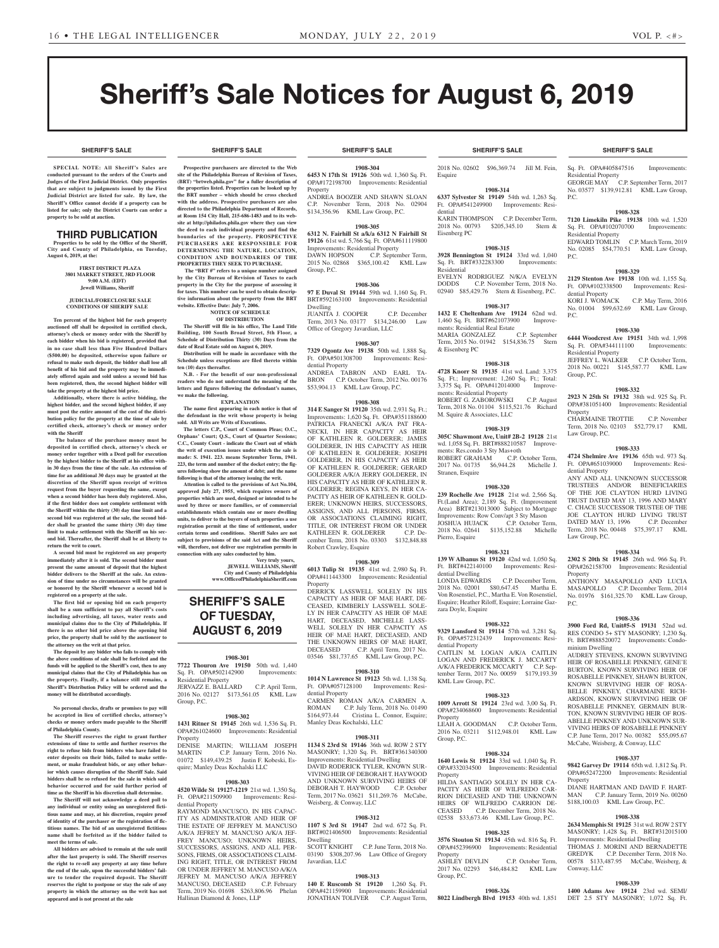**SHERIFF'S SALE SHERIFF'S SALE SHERIFF'S SALE SHERIFF'S SALE SHERIFF'S SALE**

# Sheriff's Sale Notices for August 6, 2019

**SPECIAL NOTE: All Sheriff 's Sales are conducted pursuant to the orders of the Courts and Judges of the First Judicial District. Only properties that are subject to judgments issued by the First Judicial District are listed for sale. By law, the Sheriff's Office cannot decide if a property can be listed for sale; only the District Courts can order a property to be sold at auction.** 

# THIRD PUBLICATION

**Properties to be sold by the Office of the Sheriff, City and County of Philadelphia, on Tuesday, August 6, 2019, at the:** 

#### **FIRST DISTRICT PLAZA 3801 MARKET STREET, 3RD FLOOR 9:00 A.M. (EDT) Jewell Williams, Sheriff**

#### **JUDICIAL/FORECLOSURE SALE CONDITIONS OF SHERIFF SALE**

**Ten percent of the highest bid for each property auctioned off shall be deposited in certified check, attorney's check or money order with the Sheriff by each bidder when his bid is registered, provided that in no case shall less than Five Hundred Dollars (\$500.00) be deposited, otherwise upon failure or refusal to make such deposit, the bidder shall lose all benefit of his bid and the property may be immediately offered again and sold unless a second bid has been registered, then, the second highest bidder will take the property at the highest bid price.**

**Additionally, where there is active bidding, the highest bidder, and the second highest bidder, if any must post the entire amount of the cost of the distribution policy for the property at the time of sale by certified check, attorney's check or money order with the Sheriff**

 **The balance of the purchase money must be deposited in certified check, attorney's check or money order together with a Deed poll for execution by the highest bidder to the Sheriff at his office within 30 days from the time of the sale. An extension of time for an additional 30 days may be granted at the discretion of the Sheriff upon receipt of written request from the buyer requesting the same, except when a second bidder has been duly registered. Also, if the first bidder does not complete settlement with the Sheriff within the thirty (30) day time limit and a second bid was registered at the sale, the second bidder shall be granted the same thirty (30) day time limit to make settlement with the Sheriff on his second bid. Thereafter, the Sheriff shall be at liberty to return the writ to court.**

**A second bid must be registered on any property immediately after it is sold. The second bidder must present the same amount of deposit that the highest bidder delivers to the Sheriff at the sale. An extension of time under no circumstances will be granted or honored by the Sheriff whenever a second bid is registered on a property at the sale.** 

**The first bid or opening bid on each property shall be a sum sufficient to pay all Sheriff's costs including advertising, all taxes, water rents and municipal claims due to the City of Philadelphia. If there is no other bid price above the opening bid price, the property shall be sold by the auctioneer to the attorney on the writ at that price.**

**The deposit by any bidder who fails to comply with the above conditions of sale shall be forfeited and the funds will be applied to the Sheriff's cost, then to any municipal claims that the City of Philadelphia has on the property. Finally, if a balance still remains, a Sheriff's Distribution Policy will be ordered and the money will be distributed accordingly.**

**No personal checks, drafts or promises to pay will be accepted in lieu of certified checks, attorney's checks or money orders made payable to the Sheriff of Philadelphia County.**

**The Sheriff reserves the right to grant further extensions of time to settle and further reserves the right to refuse bids from bidders who have failed to enter deposits on their bids, failed to make settlement, or make fraudulent bids, or any other behavior which causes disruption of the Sheriff Sale. Said bidders shall be so refused for the sale in which said behavior occurred and for said further period of time as the Sheriff in his discretion shall determine.**

**The Sheriff will not acknowledge a deed poll to any individual or entity using an unregistered fictitious name and may, at his discretion, require proof of identity of the purchaser or the registration of fictitious names. The bid of an unregistered fictitious name shall be forfeited as if the bidder failed to meet the terms of sale.**

**All bidders are advised to remain at the sale until after the last property is sold. The Sheriff reserves the right to re-sell any property at any time before the end of the sale, upon the successful bidders' failure to tender the required deposit. The Sheriff reserves the right to postpone or stay the sale of any property in which the attorney on the writ has not appeared and is not present at the sale**

#### **Prospective purchasers are directed to the Web site of the Philadelphia Bureau of Revision of Taxes, (BRT) "brtweb.phila.gov" for a fuller description of the properties listed. Properties can be looked up by the BRT number – which should be cross checked with the address. Prospective purchasers are also directed to the Philadelphia Department of Records, at Room 154 City Hall, 215-686-1483 and to its website at http://philadox.phila.gov where they can view the deed to each individual property and find the boundaries of the property. PROSPECTIVE PURCHASERS ARE RESPONSIBLE FOR DETERMINING THE NATURE, LOCATION, CONDITION AND BOUNDARIES OF THE**

**PROPERTIES THEY SEEK TO PURCHASE. The "BRT #" refers to a unique number assigned by the City Bureau of Revision of Taxes to each property in the City for the purpose of assessing it for taxes. This number can be used to obtain descriptive information about the property from the BRT**  website. Effective Date: July 7, 200

**NOTICE OF SCHEDULE OF DISTRIBUTION**

**The Sheriff will file in his office, The Land Title Building, 100 South Broad Street, 5th Floor, a Schedule of Distribution Thirty (30) Days from the date of Real Estate sold on August 6, 2019.**

**Distribution will be made in accordance with the Schedule unless exceptions are filed thereto within ten (10) days thereafter.**

**N.B. - For the benefit of our non-professional readers who do not understand the meaning of the letters and figures following the defendant's names, we make the following.**

**EXPLANATION**

**The name first appearing in each notice is that of the defendant in the writ whose property is being sold. All Writs are Writs of Executions.**

**The letters C.P., Court of Common Pleas; O.C., Orphans' Court; Q.S., Court of Quarter Sessions; C.C., County Court - indicate the Court out of which the writ of execution issues under which the sale is made: S. 1941. 223. means September Term, 1941. 223, the term and number of the docket entry; the figures following show the amount of debt; and the name following is that of the attorney issuing the writ.**

**Attention is called to the provisions of Act No.104, approved July 27, 1955, which requires owners of properties which are used, designed or intended to be used by three or more families, or of commercial establishments which contain one or more dwelling units, to deliver to the buyers of such properties a use registration permit at the time of settlement, under certain terms and conditions. Sheriff Sales are not subject to provisions of the said Act and the Sheriff will, therefore, not deliver use registration permits in connection with any sales conducted by him.**

**Very truly yours, JEWELL WILLIAMS, Sheriff City and County of Philadelphia www.OfficeofPhiladelphiaSheriff.com**

# **SHERIFF'S SALE OF TUESDAY, AUGUST 6, 2019**

#### **1908-301**

**7722 Thouron Ave 19150** 50th wd. 1,440 Sq. Ft. OPA#502142900 Improvements: Residential Property JERVAZZ E. BALLARD C.P. April Term, 2016 No. 02127 \$173,561.05 KML Law Group, P.C.

#### **1908-302**

**1431 Ritner St 19145** 26th wd. 1,536 Sq. Ft. OPA#261024600 Improvements: Residential Property<br>DENISE MARTIN; WILLIAM JOSEPH

MARTIN C.P. January Term, 2016 No. 01072 \$149,439.25 Justin F. Kobeski, Esquire; Manley Deas Kochalski LLC

# **1908-303**

**4520 Wilde St 19127-1219** 21st wd. 1,350 Sq. Ft. OPA#211509900 Improvements: Residential Property

RAYMOND MANCUSCO, IN HIS CAPAC-ITY AS ADMINSTRATOR AND HEIR OF THE ESTATE OF JEFFREY M. MANCUSO A/K/A JEFREY M. MANCUSO A/K/A JEF-FREY MANCUSO; UNKNOWN HEIRS, SUCCESSORS, ASSIGNS, AND ALL PER-SONS, FIRMS, OR ASSOCIATIONS CLAIM-ING RIGHT, TITLE, OR INTEREST FROM OR UNDER JEFFREY M. MANCUSO A/K/A JEFREY M. MANCUSO A/K/A JEFFREY MANCUSO, DECEASED C.P. February Term, 2019 No. 01698 \$263,806.96 Phelan Hallinan Diamond & Jones, LLP

**1908-304 6453 N 17th St 19126** 50th wd. 1,360 Sq. Ft. OPA#172198700 Improvements: Residential Property

ANDREA BOOZER AND SHAWN SLOAN C.P. November Term, 2018 No. 02904 \$134,356.96 KML Law Group, P.C.

#### **1908-305**

**6312 N. Fairhill St a/k/a 6312 N Fairhill St 19126** 61st wd. 5,766 Sq. Ft. OPA#611119800 Improvements: Residential Property<br>DAWN HOPSON C.P. Septen C.P. September Term, 2015 No. 02868 \$365,100.42 KML Law Group, P.C.

#### **1908-306**

**97 E Duval St 19144** 59th wd. 1,160 Sq. Ft. BRT#592163100 Improvements: Residential Dwelling JUANITA J. COOPER C.P. December

Term, 2013 No. 03177 \$134,246.00 Law Office of Gregory Javardian, LLC

### **1908-307**

**7329 Ogontz Ave 19138** 50th wd. 1,888 Sq. Ft. OPA#501308700 Improvements: Residential Property ANDREA TABRON AND EARL TA-BRON C.P. October Term, 2012 No. 00176

\$53,904.13 KML Law Group, P.C.

#### **1908-308**

**314 E Sanger St 19120** 35th wd. 2,931 Sq. Ft.; Improvements: 1,620 Sq. Ft. OPA#351188600 PATRICIA FRANECKI A/K/A PAT FRA-NECKI, IN HER CAPACITY AS HEIR OF KATHLEEN R. GOLDERER; JAMES GOLDERER, IN HIS CAPACITY AS HEIR OF KATHLEEN R. GOLDERER; JOSEPH GOLDERER, IN HIS CAPACITY AS HEIR OF KATHLEEN R. GOLDERER; GERARD GOLDERER A/K/A JERRY GOLDERER, IN HIS CAPACITY AS HEIR OF KATHLEEN R. GOLDERER; REGINA KEYS, IN HER CA-PACITY AS HEIR OF KATHLEEN R. GOLD-ERER: UNKNOWN HEIRS, SUCCESSORS ASSIGNS, AND ALL PERSONS, FIRMS, OR ASSOCIATIONS CLAIMING RIGHT, TITLE, OR INTEREST FROM OR UNDER KATHLEEN R. GOLDERER C.P. December Term, 2018 No. 03303 \$132,848.88 Robert Crawley, Esquire

#### **1908-309**

**6013 Tulip St 19135** 41st wd. 2,980 Sq. Ft. OPA#411443300 Improvements: Residential Property

DERRICK LASSWELL SOLELY IN HIS CAPACITY AS HEIR OF MAE HART, DE-CEASED, KIMBERLY LASSWELL SOLE-LY IN HER CAPACITY AS HEIR OF MAE HART, DECEASED, MICHELLE LASS-WELL SOLELY IN HER CAPACITY AS HEIR OF MAE HART, DECEASED, AND THE UNKNOWN HEIRS OF MAE HART, DECEASED C.P. April Term, 2017 No. 03546 \$81,737.65 KML Law Group, P.C.

#### **1908-310 1014 N Lawrence St 19123** 5th wd. 1,138 Sq.

Ft. OPA#057128100 Improvements: Residential Property CARMEN ROMAN A/K/A CARMEN A.

ROMAN C.P. July Term, 2018 No. 01490 \$164,973.44 Cristina L. Connor, Esquire; Manley Deas Kochalski, LLC

# **1908-311**

**1134 S 23rd St 19146** 36th wd. ROW 2 STY MASONRY; 1,320 Sq. Ft. BRT#361340300 Improvements: Residential Dwelling DAVID RODERICK TYLER, KNOWN SUR-VIVING HEIR OF DEBORAH T. HAYWOOD AND UNKNOWN SURVIVING HEIRS OF DEBORAH T. HAYWOOD C.P. October Term, 2017 No. 03621 \$11,269.76 McCabe, Weisberg, & Conway, LLC

#### **1908-312**

**1107 S 3rd St 19147** 2nd wd. 672 Sq. Ft. BRT#021406500 Improvements: Residential Dwelling SCOTT KNIGHT C.P. June Term, 2018 No.

03190 \$308,207.96 Law Office of Gregory Javardian, LLC

# **1908-313**

**140 E Ruscomb St 19120** 1,260 Sq. Ft. OPA#421159900 Improvements: Residential JONATHAN TOLIVER C.P. August Term,

2018 No. 02602 \$96,369.74 Jill M. Fein, Esquire

### **1908-314**

**6337 Sylvester St 19149** 54th wd. 1,263 Sq. Ft. OPA#541249900 Improvements: Residential KARIN THOMPSON C.P. December Term, 2018 No. 00793 \$205,345.10 Stern &

Eisenberg PC **1908-315**

# **3928 Bennington St 19124** 33rd wd. 1,040

Sq. Ft. BRT#332283300 Improvements: Residential EVELYN RODRIGUEZ N/K/A EVELYN

DODDS C.P. November Term, 2018 No. 02940 \$85,429.76 Stern & Eisenberg, P.C. **1908-317**

# **1432 E Cheltenham Ave 19124** 62nd wd.

1,460 Sq. Ft. BRT#621073900 Improvements: Residential Real Estate<br>MARIA GONZALEZ C.P. September MARIA GONZALEZ Term, 2015 No. 01942 \$154,836.75 Stern & Eisenberg PC

#### **1908-318**

**4728 Knorr St 19135** 41st wd. Land: 3,375 Sq. Ft.; Improvement: 1,260 Sq. Ft.; Total: 3,375 Sq. Ft. OPA#412014000 Improvements: Residential Property ROBERT G. ZABOROWSKI C.P. August Term, 2018 No. 01104 \$115,521.76 Richard M. Squire & Associates, LLC

#### **1908-319**

**305C Shawmont Ave, Unit# 2B-2 19128** 21st wd. 1,058 Sq. Ft. BRT#888210587 Improvements: Res.condo 3 Sty Mas+oth<br>ROBERT GRAHAM C.P. October Term. ROBERT GRAHAM 2017 No. 01735 \$6,944.28 Michelle J. Stranen, Esquire

#### **1908-320**

**239 Rochelle Ave 19128** 21st wd. 2,566 Sq. Ft.(Land Area); 2,189 Sq. Ft. (Improvement Area) BRT#213013000 Subject to Mortgage Improvements: Row Conv/apt 3 Sty Mason JOSHUA HUJACK C.P. October Term, 2018 No. 02641 \$135,152.88 Michelle Pierro, Esquire

#### **1908-321 139 W Albanus St 19120** 42nd wd. 1,050 Sq.

Ft. BRT#422140100 Improvements: Residential Dwelling

LONDA EDWARDS C.P. December Term, 2018 No. 02001 \$80,647.45 Martha E. Von Rosenstiel, P.C., Martha E. Von Rosenstiel, Esquire; Heather Riloff, Esquire; Lorraine Gazzara Doyle, Esquire

# **1908-322**

**9329 Lansford St 19114** 57th wd. 3,281 Sq. Ft. OPA#572312439 Improvements: Residential Property CAITLIN M. LOGAN A/K/A CAITLIN

LOGAN AND FREDERICK J. MCCARTY A/K/A FREDERICK MCCARTY C.P. September Term, 2017 No. 00059 \$179,193.39 KML Law Group, P.C.

#### **1908-323**

**1009 Arrott St 19124** 23rd wd. 3,00 Sq. Ft. OPA#234068600 Improvements: Residential Property LEAH A. GOODMAN C.P. October Term,

2016 No. 03211 \$112,948.01 KML Law Group, P.C.

#### **1908-324**

**1640 Lewis St 19124** 33rd wd. 1,040 Sq. Ft. OPA#332034500 Improvements: Residential Property HILDA SANTIAGO SOLELY IN HER CA-PACITY AS HEIR OF WILFRED RION DECEASED AND THE UNKNOWN HEIRS OF WILFREDO CARRION DE-CEASED C.P. December Term, 2018 No. 02538 \$33,673.46 KML Law Group, P.C.

# **1908-325**

**3576 Stouton St 19134** 45th wd. 816 Sq. Ft. OPA#452396900 Improvements: Residential Property<br>ASHLEY DEVLIN C.P. October Term, 2017 No. 02293 \$46,484.82 KML Law Group, P.C.

**1908-326 8022 Lindbergh Blvd 19153** 40th wd. 1,851

### **SHERIFF'S SALE SHERIFF'S SALE SHERIFF'S SALE SHERIFF'S SALE SHERIFF'S SALE**

Sq. Ft. OPA#405847516 Improvements: Residential Property GEORGE MAY C.P. September Term, 2017 No. 03577 \$139,912.81 KML Law Group, P.C.

**1908-328 7120 Limekiln Pike 19138** 10th wd. 1,520 Sq. Ft. OPA#102070700 Improvements:

No. 02085 \$54,770.51 KML Law Group,

**1908-329 2129 Stenton Ave 19138** 10th wd. 1,155 Sq. Ft. OPA#102338500 Improvements: Resi-

No. 01004 \$99,632.69 KML Law Group,

**1908-330 6444 Woodcrest Ave 19151** 34th wd. 1,998 Sq. Ft. OPA#344111100 Improvements:

JEFFREY L. WALKER C.P. October Term, 2018 No. 00221 \$145,587.77 KML Law

**1908-332 2923 N 25th St 19132** 38th wd. 925 Sq. Ft. OPA#381051400 Improvements: Residential

CHARMAINE TROTTIE C.P. November Term, 2018 No. 02103 \$52,779.17 KML

**1908-333 4724 Shelmire Ave 19136** 65th wd. 973 Sq. Ft. OPA#651039000 Improvements: Resi-

ANY AND ALL UNKNOWN SUCCESSOR TRUSTEES AND/OR BENEFICIARIES OF THE JOE CLAYTON HURD LIVING TRUST DATED MAY 13, 1996 AND MARY C. CHACE SUCCESSOR TRUSTEE OF THE JOE CLAYTON HURD LIVING TRUST DATED MAY 13, 1996 C.P. December Term, 2018 No. 00448 \$75,397.17 KML

**1908-334 2302 S 20th St 19145** 26th wd. 966 Sq. Ft. OPA#262158700 Improvements: Residential

ANTHONY MASAPOLLO AND LUCIA MASAPOLLO C.P. December Term, 2014 No. 01976 \$161,325.70 KML Law Group,

**1908-336 3900 Ford Rd, Unit#5-S 19131** 52nd wd. RES CONDO 5+ STY MASONRY; 1,230 Sq. Ft. BRT#888520072 Improvements: Condo-

AUDREY STEVENS, KNOWN SURVIVING HEIR OF ROSABELLE PINKNEY, GENE'E BURTON, KNOWN SURVIVING HEIR OF ROSABELLE PINKNEY, SHAWN BURTON, KNOWN SURVIVING HEIR OF ROSA-BELLE PINKNEY, CHARMAINE RICH-ARDSON, KNOWN SURVIVING HEIR OF ROSABELLE PINKNEY, GERMAIN BUR-TON, KNOWN SURVIVING HEIR OF ROS-ABELLE PINKNEY AND UNKNOWN SUR-VIVING HEIRS OF ROSABELLE PINKNEY C.P. June Term, 2017 No. 00382 \$55,095.67 McCabe, Weisberg, & Conway, LLC

**1908-337 9842 Garvey Dr 19114** 65th wd. 1,812 Sq. Ft. OPA#652472200 Improvements: Residential

DIANE HARTMAN AND DAVID F. HART-MAN C.P. January Term, 2019 No. 00260 \$188,100.03 KML Law Group, P.C.

**1908-338 2634 Memphis St 19125** 31st wd. ROW 2 STY MASONRY; 1,428 Sq. Ft. BRT#312015100 Improvements: Residential Dwelling THOMAS J. MORINI AND BERNADETTE GREDYK C.P. December Term, 2018 No. 00578 \$133,487.95 McCabe, Weisberg, &

**1908-339 1400 Adams Ave 19124** 23rd wd. SEMI/ DET 2.5 STY MASONRY; 1,072 Sq. Ft.

C.P. March Term, 2019

C.P. May Term, 2016

Residential Property<br>EDWARD TOMLIN

dential Property<br>KORI J. WOMACK

Residential Property

Group, P.C.

Property

Law Group, P.C.

dential Property

Law Group, P.C.

minium Dwelling

Property

Conway, LLC

Property

P.C.

P.C.

P.C.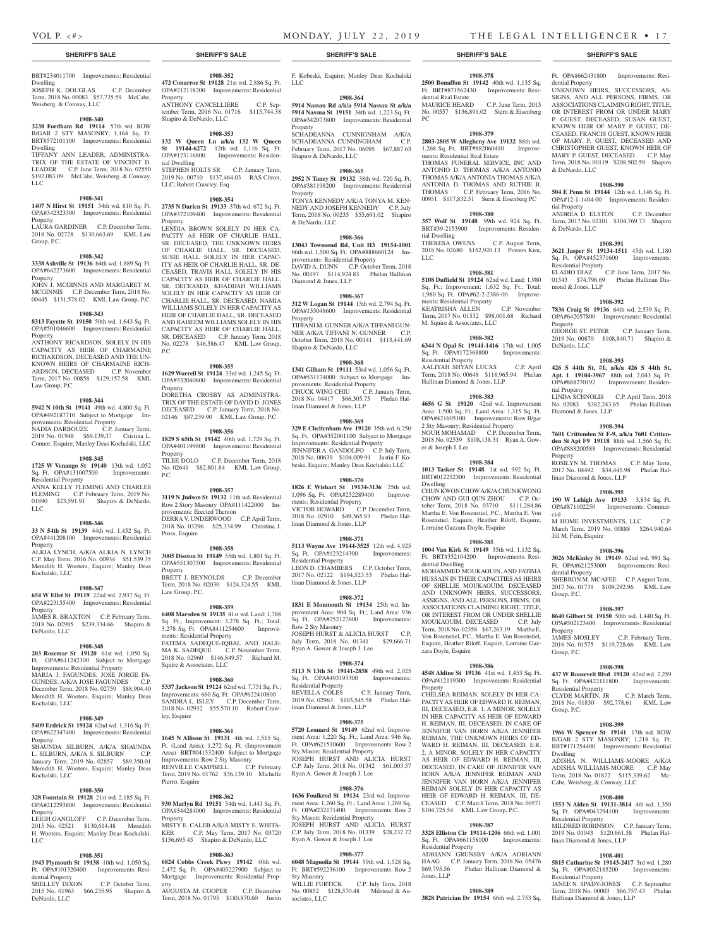### **SHERIFF'S SALE SHERIFF'S SALE SHERIFF'S SALE SHERIFF'S SALE SHERIFF'S SALE**

**1908-352 472 Conarroe St 19128** 21st wd. 2,886 Sq. Ft. OPA#212118200 Improvements: Residential

ANTHONY CANCELLIERE C.P. September Term, 2016 No. 01716 \$115,744.38

**1908-353 132 W Queen Ln a/k/a 132 W Queen St 19144-6272** 12th wd. 1,116 Sq. Ft. OPA#123116800 Improvements: Residen-

STEPHEN HOLTS SR C.P. January Term, 2019 No. 00710 \$137,464.03 RAS Citron,

**1908-354 2735 N Darien St 19133** 37th wd. 672 Sq. Ft. OPA#372109400 Improvements: Residential

LENDIA BROWN SOLELY IN HER CA-PACITY AS HEIR OF CHARLIE HALL, SR. DECEASED, THE UNKNOWN HEIRS OF CHARLIE HALL, SR. DECEASED, SUSIE HALL SOLELY IN HER CAPAC-ITY AS HEIR OF CHARLIE HALL, SR. DE-CEASED, TRAVIS HALL SOLELY IN HIS CAPACITY AS HEIR OF CHARLIE HALL, SR. DECEASED, KHADIJAH WILLIAMS SOLELY IN HER CAPACITY AS HEIR OF CHARLIE HALL, SR. DECEASED, NAMIA WILLIAMS SOLELY IN HER CAPACITY AS HEIR OF CHARLIE HALL, SR. DECEASED AND RAHEEM WILLIAMS SOLELY IN HIS CAPACITY AS HEIR OF CHARLIE HALL, SR. DECEASED C.P. January Term, 2018 No. 02278 \$46,586.47 KML Law Group,

**1908-355 1629 Worrell St 19124** 33rd wd. 1,245 Sq. Ft. OPA#332040600 Improvements: Residential

DORETHA CROSBY AS ADMINISTRA-TRIX OF THE ESTATE OF DAVID D. JONES DECEASED C.P. January Term, 2018 No. 02146 \$87,239.90 KML Law Group, P.C. **1908-356 1829 S 65th St 19142** 40th wd. 1,729 Sq. Ft. OPA#401199800 Improvements: Residential

TILEE DOLO C.P. December Term, 2018 No. 02641 \$82,801.84 KML Law Group,

**1908-357 3119 N Judson St 19132** 11th wd. Residential Row 2 Story Masonry OPA#111422000 Im-

DERRA V. UNDERWOOD C.P. April Term, 2018 No. 03296 \$25,334.99 Christina J.

**1908-358 3005 Disston St 19149** 55th wd. 1,801 Sq. Ft. OPA#551307500 Improvements: Residential

BRETT J. REYNOLDS C.P. December Term, 2018 No. 02030 \$124,324.55 KML

**1908-359 6408 Marsden St 19135** 41st wd. Land: 1,788 Sq. Ft.; Improvement: 3,278 Sq. Ft.; Total: 3,278 Sq. Ft. OPA#411254600 Improve-

FATEMA SADEQUE-IQBAL AND HALE-MA K. SADEQUE C.P. November Term, 2018 No. 02960 \$146,849.57 Richard M.

**1908-360 5337 Jackson St 19124** 62nd wd. 7,751 Sq. Ft.; Improvements: 660 Sq. Ft. OPA#622410800<br>SANDRA L. ISLEY C.P. December Term.

2018 No. 02932 \$55,570.10 Robert Craw-

**1908-361 1645 N Allison St 19131** 4th wd. 1,515 Sq. Ft. (Land Area); 1,272 Sq. Ft. (Improvement Area) BRT#041332400 Subject to Mortgage Improvements: Row 2 Sty Masonry RENVILLE CAMPBELL C.P. February Term, 2019 No. 01762 \$36,139.10 Michelle

**1908-362 930 Marlyn Rd 19151** 34th wd. 1,443 Sq. Ft. OPA#344284000 Improvements: Residential

MISTY E. CALEB A/K/A MISTY E. WHITA-<br>KER C.P. May Term. 2017 No. 03720 C.P. May Term, 2017 No. 03720

\$136,695.45 Shapiro & DeNardo, LLC **1908-363 6824 Cobbs Creek Pkwy 19142** 40th wd. 2,472 Sq. Ft. OPA#403227900 Subject to Mortgage Improvements: Residential Prop-

C.P. December Term,

provements: Erected Thereon

Property

tial Dwelling

Property

P.C.

Property

Property

Pross, Esquire

Law Group, P.C.

ments: Residential Property

Squire & Associates, LLC

ley, Esquire

Pierro, Esquire

Property

erty

Property

P.C.

Shapiro & DeNardo, LLC

LLC; Robert Crawley, Esq

#### BRT#234011700 Improvements: Residential Dwelling

JOSEPH K. DOUGLAS C.P. December Term, 2018 No. 00083 \$57,735.59 McCabe, Weisberg, & Conway, LLC

#### **1908-340**

**3238 Fordham Rd 19114** 57th wd. ROW B/GAR 2 STY MASONRY; 1,164 Sq. Ft. BRT#572101100 Improvements: Residential Dwelling TIFFANY ANN LEADER, ADMINISTRA-TRIX OF THE ESTATE OF VINCENT D.

LEADER C.P. June Term, 2018 No. 02550 \$192,083.09 McCabe, Weisberg, & Conway, LLC

# **1908-341**

**1407 N Hirst St 19151** 34th wd. 810 Sq. Ft. OPA#342323300 Improvements: Residential Property LAURA GARDINER C.P. December Term, 2018 No. 02728 \$130,663.69 KML Law

#### **1908-342**

Group, P.C.

**3338 Ashville St 19136** 64th wd. 1,889 Sq. Ft. OPA#642273600 Improvements: Residential **Property** 

JOHN J. MCGINNIS AND MARGARET M. MCGINNIS C.P. December Term, 2018 No. 00445 \$131,578.02 KML Law Group, P.C.

# **1908-343**

**8313 Fayette St 19150** 50th wd. 1,643 Sq. Ft. OPA#501046600 Improvements: Residential Property ANTHONY RICARDSON, SOLELY IN HIS

CAPACITY AS HEIR OF CHARMAINE RICHARDSON, DECEASED AND THE UN-KNOWN HEIRS OF CHARMAINE RICH-ARDSON, DECEASED C.P. November Term, 2017 No. 00858 \$129,157.58 KML Law Group, P.C.

### **1908-344**

**5942 N 10th St 19141** 49th wd. 4,800 Sq. Ft. OPA#492187710 Subject to Mortgage Improvements: Residential Property NADIA DARBOUZE C.P. January Term, 2019 No. 01948 \$69,139.37 Cristina L.

Connor, Esquire; Manley Deas Kochalski, LLC

#### **1908-345 1725 W Venango St 19140** 13th wd. 1,052 Sq. Ft. OPA#131007500 Improvements: Residential Property ANNA KELLY FLEMING AND CHARLES

FLEMING C.P. February Term, 2019 No. 01890 \$23,591.91 Shapiro & DeNardo, LLC

#### **1908-346**

**33 N 54th St 19139** 44th wd. 1,452 Sq. Ft. OPA#441208100 Improvements: Residential Property ALKIA LYNCH, A/K/A ALKIA N. LYNCH

C.P. May Term, 2016 No. 00934 \$51,539.35 Meredith H. Wooters, Esquire; Manley Deas Kochalski, LLC

#### **1908-347**

**654 W Ellet St 19119** 22nd wd. 2,937 Sq. Ft. OPA#223155400 Improvements: Residential Property

JAMES R. BRAXTON C.P. February Term, 2018 No. 02985 \$239,334.66 Shapiro & DeNardo, LLC

#### **1908-348**

**203 Rosemar St 19120** 61st wd. 1,050 Sq. Ft. OPA#611242300 Subject to Mortgage Improvements: Residential Property MARIA J. FAGUNDES; JOSE JORGE FA-GUNDES, A/K/A JOSE FAGUNDES C.P. December Term, 2018 No. 02759 \$88,904.40 Meredith H. Wooters, Esquire; Manley Deas Kochalski, LLC

# **1908-349**

**5409 Erdrick St 19124** 62nd wd. 1,316 Sq. Ft. OPA#622347400 Improvements: Residential Property

SHAUNDA SILBURN, A/K/A SHAUNDA L. SILBURN, A/K/A S. SILBURN C.P. January Term, 2019 No. 02857 \$89,350.01 Meredith H. Wooters, Esquire; Manley Deas Kochalski, LLC

# **1908-350**

**328 Fountain St 19128** 21st wd. 2,185 Sq. Ft. OPA#212293800 Improvements: Residential Property LEIGH GANGLOFF C.P. December Term, 2015 No. 02521 \$130,614.48 Meredith H. Wooters, Esquire; Manley Deas Kochalski, LLC

#### **1908-351**

**1943 Plymouth St 19138** 10th wd. 1,050 Sq. Ft. OPA#101320400 Improvements: Residential Property<br>SHELLEY DIXON C.P. October Term, 2015 No. 01963 \$66,235.95 Shapiro &

DeNardo, LLC AUGUSTA M. COOPER C.P. December Term, 2018 No. 01795 \$180,870.60 Justin

F. Kobeski, Esquire; Manley Deas Kochalski LLC

#### **1908-364**

**5914 Nassau Rd a/k/a 5914 Nassau St a/k/a 5914 Nassua St 19151** 34th wd. 1,223 Sq. Ft. OPA#342073800 Improvements: Residential Property SCHADEANNA CUNNIGNHAM A/K/A

SCHADEANNA CUNNINGHAM C.P. February Term, 2017 No. 06095 \$67,887.63 Shapiro & DeNardo, LLC

### **1908-365**

**2952 N Taney St 19132** 38th wd. 720 Sq. Ft. OPA#381198200 Improvements: Residential Property TONYA KENNEDY A/K/A TONYA M. KEN-NEDY AND JOSEPH KENNEDY C.P. July Term, 2018 No. 00235 \$55,691.02 Shapiro & DeNardo, LLC

# **1908-366**

**13043 Townsend Rd, Unit H3 19154-1001**  66th wd. 1,500 Sq. Ft. OPA#888660124 Improvements: Residential Property DAVID A. DUNN C.P. October Term, 2018 No. 00197 \$114,924.83 Phelan Hallinan Diamond & Jones, LLP

#### **1908-367**

**312 W Logan St 19144** 13th wd. 2,794 Sq. Ft. OPA#133048600 Improvements: Residential Property TIFFANI M. GUNNER A/K/A TIFFANI GUN-NER A/K/A TIFFANI N. GUNNER C.P. October Term, 2018 No. 00141 \$113,441.69 Shapiro & DeNardo, LLC

# **1908-368**

**1341 Gilham St 19111** 53rd wd. 1,056 Sq. Ft. OPA#531174000 Subject to Mortgage Improvements: Residential Property CHUCK WING CHIU C.P. January Term, 2018 No. 04417 \$66,305.75 Phelan Hallinan Diamond & Jones, LLP

#### **1908-369**

**329 E Cheltenham Ave 19120** 35th wd. 6,250 Sq. Ft. OPA#352001100 Subject to Mortgage Improvements: Residential Property JENNIFER A. GANDOLFO C.P. July Term, 2018 No. 00639 \$104,009.91 Justin F. Kobeski, Esquire; Manley Deas Kochalski LLC

#### **1908-370**

**1826 E Wishart St 19134-3136** 25th wd. 1,096 Sq. Ft. OPA#252289400 Improvements: Residential Property VICTOR HOWARD C.P. December Term, 2018 No. 02910 \$49,365.83 Phelan Hallinan Diamond & Jones, LLP

#### **1908-371**

**5113 Wayne Ave 19144-3525** 12th wd. 4,925 Sq. Ft. OPA#123214300 Residential Property LEON D. CHAMBERS C.P. October Term, 2017 No. 02122 \$194,523.53 Phelan Hallinan Diamond & Jones, LLP

#### **1908-372**

**1831 E Monmouth St 19134** 25th wd. Improvement Area: 904 Sq. Ft.; Land Area: 936 Sq. Ft. OPA#252127600 Improvements: Row 2 Sty Masonry JOSEPH HURST & ALICIA HURST C.P. July Term, 2018 No. 01341 \$29,666.71

Ryan A. Gower & Joseph J. Lee

# **1908-374**

**5113 N 13th St 19141-2858** 49th wd. 2,025 Sq. Ft. OPA#493193300 Improvements: Residential Property C.P. January Term, 2019 No. 02963 \$103,545.58 Phelan Hallinan Diamond & Jones, LLP

# **1908-375**

**5720 Leonard St 19149** 62nd wd. Improvement Area: 1,220 Sq. Ft.; Land Area: 946 Sq. Ft. OPA#621510600 Improvements: Row 2 Sty Mason; Residential Property JOSEPH HURST AND ALICIA HURST C.P. July Term, 2018 No. 01342 \$61,003.57 Ryan A. Gower & Joseph J. Lee

#### **1908-376**

**1636 Foulkrod St 19134** 23rd wd. Improvement Area: 1,260 Sq. Ft.; Land Area: 1,269 Sq. Ft. OPA#232171400 Improvements: Row 2 Sty Mason; Residential Property JOSEPH HURST AND ALICIA HURST C.P. July Term, 2018 No. 01339 \$28,232.72 Ryan A. Gower & Joseph J. Lee

#### **1908-377**

**6048 Magnolia St 19144** 59th wd. 1,528 Sq. Ft. BRT#592236100 Improvements: Row 2 Sty Masonry WILLIE FURTICK C.P. July Term, 2018 No. 00852 \$128,570.48 Milstead & Associates, LLC

# **1908-378**

**2500 Bonaffon St 19142** 40th wd. 1,135 Sq. Ft. BRT#871562430 Improvements: Residential Real Estate<br>MAURICE HEARD C.P. June Term, 2015 No. 00557 \$136,891.02 Stern & Eisenberg PC

#### **1908-379**

**2803-2805 W Allegheny Ave 19132** 88th wd. 2865-2866 N Antennative Corp. 1,268 Sq. Ft. BRT#882060410 Improvements: Residential Real Estate THOMAS FUNERAL SERVICE, INC AND ANTONIO D. THOMAS A/K/A ANTONIO THOMAS A/K/A ANTONIA THOMAS A/K/A ANTONIA D. THOMAS AND RUTHIE B. THOMAS C.P. February Term, 2016 No. 00951 \$117,832.51 Stern & Eisenberg PC

#### **1908-380**

**357 Wolf St 19148** 99th wd. 924 Sq. Ft. BRT#39-2153900 Improvements: Residential Dwelling THERESA OWENS C.P. August Term,

2018 No. 02680 \$152,920.13 Powers Kirn, LLC

# **1908-381**

**5108 Duffield St 19124** 62nd wd. Land: 1,980 Sq. Ft.; Improvement: 1,632 Sq. Ft.; Total: 1,980 Sq. Ft. OPA#62-2-2386-00 Improvements: Residential Property KEATRISHA ALLEN C.P. November Term, 2017 No. 01532 \$98,001.68 Richard<br>Term, 2017 No. 01532 \$98,001.68 Richard M. Squire & Associates, LLC

#### **1908-382**

**6344 N Opal St 19141-1416** 17th wd. 1,005 Sq. Ft. OPA#172368800 Improvements: Residential Property AALIYAH SHYAN LUCAS C.P. April Term, 2018 No. 00648 \$118,965.94 Phelan Hallinan Diamond & Jones, LLP

#### **1908-383**

**4656 G St 19120** 42nd wd. Improvement Area: 1,500 Sq. Ft.; Land Area: 1,315 Sq. Ft. OPA#421605100 Improvements: Row B/gar 2 Sty Masonry; Residential Property NOUH MOHAMAD C.P. December Term, 2018 No. 02539 \$108,138.31 Ryan A. Gower & Joseph J. Lee

#### **1908-384**

**1013 Tasker St 19148** 1st wd. 992 Sq. Ft. BRT#012252300 Improvements: Residential Dwelling CHUN KWON CHOW A/K/A CHUN KWONG CHOW AND GUI QUN ZHOU C.P. October Term, 2018 No. 03710 \$111,284.86

Martha E. Von Rosenstiel, P.C., Martha E. Von Rosenstiel, Esquire, Heather Riloff, Esquire, Lorraine Gazzara Doyle, Esquire

# **1908-385**

**1004 Van Kirk St 19149** 35th wd. 1,132 Sq. Ft. BRT#352104200 Improvements: Residential Dwelling MOHAMMED MOUKAOUIN, AND FATIMA HUSSAIN IN THEIR CAPACITIES AS HEIRS OF SHELLIE MOUKAOUIM, DECEASED AND UNKNOWN HEIRS, SUCCESSORS, ASSIGNS, AND ALL PERSONS, FIRMS, OR ASSOCIATIONS CLAIMING RIGHT, TITLE OR INTEREST FROM OR UNDER SHELLIE MOUKAOUIM, DECEASED C.P. July Term, 2018 No. 02358 \$67,263.19 Martha E. Von Rosenstiel, P.C., Martha E. Von Rosenstiel, Esquire, Heather Riloff, Esquire, Lorraine Gazzara Doyle, Esquire

#### **1908-386**

**4548 Aldine St 19136** 41st wd. 1,453 Sq. Ft. OPA#412119300 Improvements: Residential Property

CHELSEA REIMAN, SOLELY IN HER CA-PACITY AS HEIR OF EDWARD H. REIMAN, III, DECEASED, E.R. 1, A MINOR, SOLELY IN HER CAPACITY AS HEIR OF EDWARD H. REIMAN, III, DECEASED, IN CARE OF JENNIFER VAN HORN A/K/A JENNIFER REIMAN, THE UNKNOWN HEIRS OF ED-WARD H. REIMAN, III, DECEASED, E.R. 2, A MINOR, SOLELY IN HER CAPACITY AS HEIR OF EDWARD H. REIMAN, III, DECEASED, IN CARE OF JENNIFER VAN HORN A/K/A JENNIFER REIMAN AND JENNIFER VAN HORN A/K/A JENNIFER REIMAN SOLELY IN HER CAPACITY AS HEIR OF EDWARD H. REIMAN, III, DE-CEASED C.P. March Term, 2018 No. 00571 \$104,725.54 KML Law Group, P.C.

#### **1908-387**

**3328 Elliston Cir 19114-1206** 66th wd. 1,001 Sq. Ft. OPA#661158100 Improvements: Residential Property

ADRIANN GRUNSBY A/K/A ADRIANN HAAG C.P. January Term, 2018 No. 05476<br>\$69,795.56 Phelan Hallinan Diamond & Phelan Hallinan Diamond & Jones, LLP

#### **1908-389**

**3828 Patrician Dr 19154** 66th wd. 2,753 Sq.

# Ft. OPA#662431800 Improvements: Resi-

dential Property UNKNOWN HEIRS, SUCCESSORS, AS-SIGNS, AND ALL PERSONS, FIRMS, OR ASSOCIATIONS CLAIMING RIGHT, TITLE OR INTEREST FROM OR UNDER MARY P. GUEST, DECEASED, SUSAN GUEST, KNOWN HEIR OF MARY P. GUEST, DE-CEASED, FRANCIS GUEST, KNOWN HEIR OF MARY P. GUEST, DECEASED AND CHRISTOPHER GUEST, KNOWN HEIR OF MARY P. GUEST, DECEASED C.P. May Term, 2018 No. 00119 \$208,502.59 Shapiro & DeNardo, LLC

#### **1908-390**

**504 E Penn St 19144** 12th wd. 1,146 Sq. Ft. OPA#12-1-1404-00 Improvements: Residential Property

ANDREA D. ELSTON C.P. December Term, 2017 No. 02101 \$104,769.73 Shapiro & DeNardo, LLC

Sq. Ft. OPA#452371600 Improvements: Residential Property<br>ELADIO DIAZ C.P. June Term, 2017 No. ELADIO DIAZ C.P. June Term, 2017 No. 01543 \$74,796.69 Phelan Hallinan Dia-

**1908-392 7836 Craig St 19136** 64th wd. 2,539 Sq. Ft. OPA#642057800 Improvements: Residential

GEORGE ST. PETER C.P. January Term, 2019 No. 00870 \$108,840.71 Shapiro &

**1908-393 426 S 44th St, #1, a/k/a 426 S 44th St, Apt. 1 19104-3967** 88th wd. 2,043 Sq. Ft. OPA#888270192 Improvements: Residen-

LINDA SCHNOLIS C.P. April Term, 2018 No. 02083 \$382,243.65 Phelan Hallinan

**1908-394 7601 Crittenden St F-9, a/k/a 7601 Crittenden St Apt F9 19118** 88th wd. 1,566 Sq. Ft. OPA#888200588 Improvements: Residential

ROSILYN M. THOMAS C.P. May Term, 2017 No. 04492 \$34,445.98 Phelan Hal-

**1908-395 190 W Lehigh Ave 19133** 3,834 Sq. Ft. OPA#871102250 Improvements: Commer-

M HOME INVESTMENTS, LLC C.P. March Term, 2019 No. 00888 \$264,940.64

**1908-396 3026 McKinley St 19149** 62nd wd. 991 Sq. Ft. OPA#621253000 Improvements: Resi-

SHERRON M. MCAFEE C.P. August Term, 2017 No. 01731 \$109,292.96 KML Law

**1908-397 8640 Gilbert St 19150** 50th wd. 1,440 Sq. Ft. OPA#502123400 Improvements: Residential

JAMES MOSLEY C.P. February Term, 2016 No. 01575 \$119,728.66 KML Law

**1908-398 437 W Roosevelt Blvd 19120** 42nd wd. 2,259 Sq. Ft. OPA#422111800 Improvements:

CLYDE MARTIN, JR C.P. March Term, 2018 No. 01830 \$92,778.61 KML Law

**1908-399 1966 W Spencer St 19141** 17th wd. ROW B/GAR 2 STY MASONRY; 1,218 Sq. Ft. BRT#171254400 Improvements: Residential

ADISHA N. WILLIAMS-MOORE A/K/A ADISHA WILLIAMS-MOORE C.P. May Term, 2018 No. 01872 \$115,339.62 Mc-

**1908-400 1553 N Alden St 19131-3814** 4th wd. 1,350

MILDRED ROBINSON C.P. January Term, 2019 No. 01043 \$120,661.58 Phelan Hal-

**1908-401 5815 Catharine St 19143-2417** 3rd wd. 1,280 Sq. Ft. OPA#032185200 Improvements:

JANEE N. SPADY-JONES C.P. September Term, 2018 No. 00003 \$66,757.43 Phelan

Cabe, Weisberg, & Conway, LLC

Sq. Ft. OPA#043294100 Residential Property

linan Diamond & Jones, LLP

Hallinan Diamond & Jones, LLP

Residential Property

#### **1908-391 3621 Jasper St 19134-1511** 45th wd. 1,180

mond & Jones, LLP

Property

DeNardo, LLC

tial Property

Property

cial

Diamond & Jones, LLP

linan Diamond & Jones, LLP

Jill M. Fein, Esquire

dential Property

Group, P.C.

Property

Group, P.C.

Group, P.C.

Dwelling

Residential Property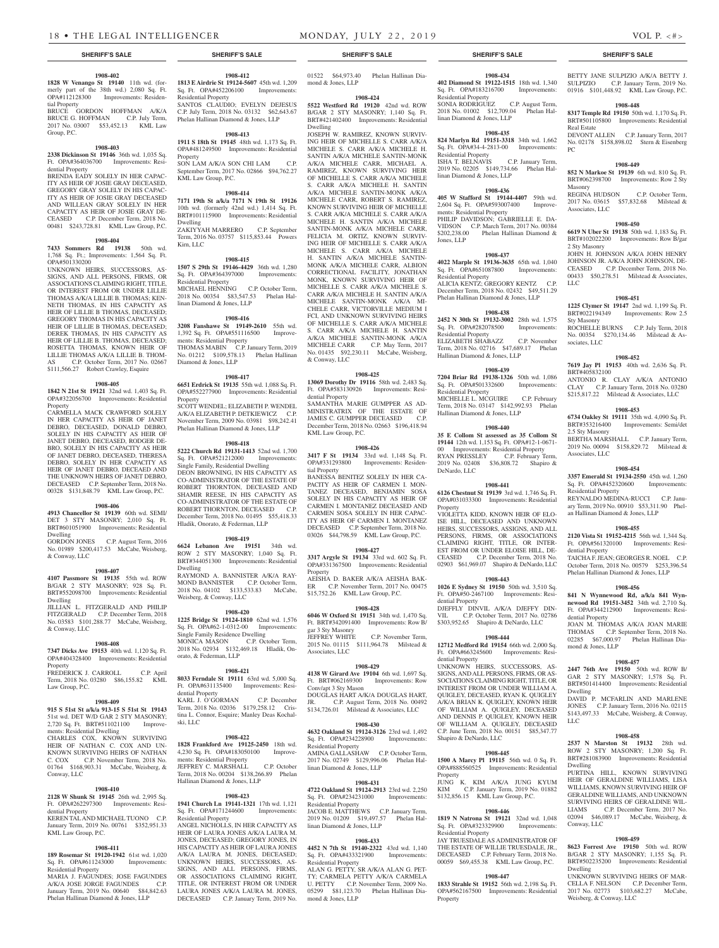#### **1908-402**

**1828 W Venango St 19140** 11th wd. (formerly part of the 38th wd.) 2,080 Sq. Ft. OPA#112128300 Improvements: Residential Property

BRUCE GORDON HOFFMAN A/K/A BRUCE G. HOFFMAN C.P. July Term, 2017 No. 03007 \$53,452.13 KML Law Group, P.C.

### **1908-403**

**2338 Dickinson St 19146** 36th wd. 1,035 Sq. Ft. OPA#364036700 Improvements: Residential Property

BRENDA EADY SOLELY IN HER CAPAC-ITY AS HEIR OF JOSIE GRAY DECEASED, GREGORY GRAY SOLELY IN HIS CAPAC-ITY AS HEIR OF JOSIE GRAY DECEASED AND WILLEAN GRAY SOLELY IN HER CAPACITY AS HEIR OF JOSIE GRAY DE-CEASED C.P. December Term, 2018 No. 00481 \$243,728.81 KML Law Group, P.C.

#### **1908-404**

**7433 Sommers Rd 19138** 50th wd. 1,768 Sq. Ft.; Improvements: 1,564 Sq. Ft. OPA#501330200

UNKNOWN HEIRS, SUCCESSORS, AS-SIGNS, AND ALL PERSONS, FIRMS, OR ASSOCIATIONS CLAIMING RIGHT, TITLE OR INTEREST FROM OR UNDER LILLIE THOMAS A/K/A LILLIE B. THOMAS; KEN-NETH THOMAS, IN HIS CAPACITY AS HEIR OF LILLIE B THOMAS, DECEASED; GREGORY THOMAS IN HIS CAPACITY AS HEIR OF LILLIE B THOMAS, DECEASED; DEREK THOMAS, IN HIS CAPACITY AS HEIR OF LILLIE B. THOMAS, DECEASED; ROSETTA THOMAS, KNOWN HEIR OF LILLIE THOMAS A/K/A LILLIE B. THOM-AS C.P. October Term, 2017 No. 02667 \$111,566.27 Robert Crawley, Esquire

#### **1908-405**

**1842 N 21st St 19121** 32nd wd. 1,403 Sq. Ft. OPA#322056700 Improvements: Residential Property

CARMELLA MACK CRAWFORD SOLELY IN HER CAPACITY AS HEIR OF JANET DEBRO, DECEASED, DONALD DEBRO, SOLELY IN HIS CAPACITY AS HEIR OF JANET DEBRO, DECEASED, RODGER DE-BRO, SOLELY IN HIS CAPACITY AS HEIR OF JANET DEBRO, DECEASED, THERESA DEBRO, SOLELY IN HER CAPACITY AS HEIR OF JANET DEBRO, DECEAED AND THE UNKNOWN HEIRS OF JANET DEBRO, DECEASED C.P. September Term, 2018 No. 00328 \$131,848.79 KML Law Group, P.C.

### **1908-406**

**4913 Chancellor St 19139** 60th wd. SEMI/ DET 3 STY MASONRY; 2,010 Sq. Ft. BRT#601051900 Improvements: Residential Dwelling

GORDON JONES C.P. August Term, 2016 No. 01989 \$200,417.53 McCabe, Weisberg, & Conway, LLC

#### **1908-407**

**4107 Passmore St 19135** 55th wd. ROW B/GAR 2 STY MASONRY; 928 Sq. Ft. BRT#552098700 Improvements: Residential Dwelling

JILLIAN L. FITZGERALD AND PHILIP FITZGERALD C.P. December Term, 2018 No. 03583 \$101,288.77 McCabe, Weisberg, & Conway, LLC

#### **1908-408**

**7347 Dicks Ave 19153** 40th wd. 1,120 Sq. Ft. OPA#404328400 Improvements: Residential Property

FREDERICK J. CARROLL C.P. April Term, 2018 No. 03280 \$86,155.82 KML Law Group, P.C.

#### **1908-409**

**915 S 51st St a/k/a 913-15 S 51st St 19143**  51st wd. DET W/D GAR 2 STY MASONRY; 2,720 Sq. Ft. BRT#511021100 Improvements: Residential Dwelling CHARLES COX, KNOWN SURVIVING HEIR OF NATHAN C. COX AND UN-KNOWN SURVIVING HEIRS OF NATHAN C. COX C.P. November Term, 2018 No. 01764 \$168,903.31 McCabe, Weisberg, & Conway, LLC

#### **1908-410 2128 W Shunk St 19145** 26th wd. 2,995 Sq.

Ft. OPA#262297300 Improvements: Residential Property KEREN TAL AND MICHAEL TUONO C.P. January Term, 2019 No. 00761 \$352,951.33

# KML Law Group, P.C.

#### **1908-411 189 Rosemar St 19120-1942** 61st wd. 1,020

Sq. Ft. OPA#611243000 Improvements: Residential Property MARIA J. FAGUNDES; JOSE FAGUNDES A/K/A JOSE JORGE FAGUNDES C.P. January Term, 2019 No. 00640 \$84,842.63 Phelan Hallinan Diamond & Jones, LLP

**1908-412 1813 E Airdrie St 19124-5607** 45th wd. 1,209 Sq. Ft. OPA#452206100 Improvements: Residential Property SANTOS CLAUDIO; EVELYN DEJESUS C.P. July Term, 2018 No. 03132 \$62,643.67

# Phelan Hallinan Diamond & Jones, LLP **1908-413**

**1911 S 18th St 19145** 48th wd. 1,173 Sq. Ft. OPA#481249500 Improvements: Residential Property SON LAM A/K/A SON CHI LAM

September Term, 2017 No. 02866 \$94,762.27 KML Law Group, P.C.

# **1908-414**

**7171 19th St a/k/a 7171 N 19th St 19126**  10th wd. (formerly 42nd wd.) 1,414 Sq. Ft. BRT#101115900 Improvements: Residential Dwelling ZAKIYYAH MARRERO C.P. September Term, 2016 No. 03757 \$115,853.44 Powers Kirn, LLC

#### **1908-415**

**1507 S 29th St 19146-4429** 36th wd. 1,280 Sq. Ft. OPA#364397000 Residential Property MICHAEL HENNING C.P. October Term, 2018 No. 00354 \$83,547.53 Phelan Hallinan Diamond & Jones, LLP

### **1908-416**

**3208 Fanshawe St 19149-2610** 55th wd. 1,392 Sq. Ft. OPA#551116500 Improvements: Residential Property THOMAS MABIN C.P. January Term, 2019 No. 01212 \$109,578.13 Phelan Hallinan

Diamond & Jones, LLP **1908-417 6651 Erdrick St 19135** 55th wd. 1,088 Sq. Ft. OPA#552277900 Improvements: Residential

Property SCOTT WENDEL; ELIZABETH P. WENDEL A/K/A ELIZABETH P. DETKIEWICZ C.P. November Term, 2009 No. 03981 \$98,242.41 Phelan Hallinan Diamond & Jones, LLP

#### **1908-418**

**5222 Church Rd 19131-1413** 52nd wd. 1,700 Sq. Ft. OPA#521212000 Improvements:

Single Family, Residential Dwelling DEON BROWNING, IN HIS CAPACITY AS CO-ADMINISTRATOR OF THE ESTATE OF ROBERT THORNTON, DECEASED AND SHAMIR REESE, IN HIS CAPACITY AS CO-ADMINISTRATOR OF THE ESTATE OF ROBERT THORNTON, DECEASED C.P. December Term, 2018 No. 01495 \$55,418.33 Hladik, Onorato, & Federman, LLP

#### **1908-419 6624 Lebanon Ave 19151** 34th wd.

ROW 2 STY MASONRY; 1,040 Sq. Ft. BRT#344051300 Improvements: Residential Dwelling RAYMOND A. BANNISTER A/K/A RAY-MOND BANNISTER C.P. October Term, 2018 No. 04102 \$133,533.83 McCabe, Weisberg, & Conway, LLC

#### **1908-420**

**1225 Bridge St 19124-1810** 62nd wd. 1,576 Sq. Ft. OPA#62-1-0312-00 Improvements: Single Family Residence Dwelling MONICA MASON C.P. October Term, 2018 No. 02934 \$132,469.18 Hladik, Onorato, & Federman, LLP

#### **1908-421**

**8033 Ferndale St 19111** 63rd wd. 5,000 Sq. Ft. OPA#631135400 Improvements: Residential Property KARL J. O'GORMAN C.P. December Term, 2018 No. 02036 \$179,258.12 Cristina L. Connor, Esquire; Manley Deas Kochal-

# **1908-422**

ski, LLC

**1828 Frankford Ave 19125-2450** 18th wd. 4,230 Sq. Ft. OPA#183050100 Improvements: Residential Property JEFFREY C. MARSHALL C.P. October Term, 2018 No. 00204 \$138,266.89 Phelan Hallinan Diamond & Jones, LLP

#### **1908-423**

**1941 Church Ln 19141-1321** 17th wd. 1,121 Sq. Ft. OPA#171244600 Improvements: Sq. Ft. OPA#171244600 Residential Property

ANGEL NICHOLLS, IN HER CAPACITY AS HEIR OF LAURA JONES A/K/A LAURA M. JONES, DECEASED; GREGORY JONES, IN HIS CAPACITY AS HEIR OF LAURA JONES A/K/A LAURA M. JONES, DECEASED; UNKNOWN HEIRS, SUCCESSORS, AS-SIGNS, AND ALL PERSONS, FIRMS, OR ASSOCIATIONS CLAIMING RIGHT, TITLE, OR INTEREST FROM OR UNDER LAURA JONES A/K/A LAURA M. JONES, DECEASED C.P. January Term, 2019 No.

01522 \$64,973.40 Phelan Hallinan Diamond & Jones, LLP

#### **1908-424**

**5522 Westford Rd 19120** 42nd wd. ROW B/GAR 2 STY MASONRY; 1,140 Sq. Ft. BRT#421402400 Improvements: Residential Dwelling

JOSEPH W. RAMIREZ, KNOWN SURVIV-ING HEIR OF MICHELLE S. CARR A/K/A MICHELE S. CARR A/K/A MICHELE H. SANTIN A/K/A MICHELE SANTIN-MONK A/K/A MICHELE CARR, MICHAEL A. RAMIREZ, KNOWN SURVIVING HEIR OF MICHELLE S. CARR A/K/A MICHELE S. CARR A/K/A MICHELE H. SANTIN A/K/A MICHELE SANTIN-MONK A/K/A MICHELE CARR, ROBERT S. RAMIREZ, KNOWN SURVIVING HEIR OF MICHELLE S. CARR A/K/A MICHELE S. CARR A/K/A MICHELE H. SANTIN A/K/A MICHELE SANTIN-MONK A/K/A MICHELE CARR, FELICIA M. ORTIZ, KNOWN SURVIV-ING HEIR OF MICHELLE S. CARR A/K/A MICHELE S. CARR A/K/A MICHELE H. SANTIN A/K/A MICHELE SANTIN-MONK A/K/A MICHELE CARR, ALBION CORRECTIONAL FACILITY, JONATHAN MONK, KNOWN SURVIVING HEIR OF MICHELLE S. CARR A/K/A MICHELE S. CARR A/K/A MICHELE H. SANTIN A/K/A MICHELE SANTIN-MONK A/K/A MI-CHELE CARR, VICTORVILLE MEDIUM I FCI, AND UNKNOWN SURVIVING HEIRS OF MICHELLE S. CARR A/K/A MICHELE S. CARR A/K/A MICHELE H. SANTIN A/K/A MICHELE SANTIN-MONK A/K/A MICHELE CARR C.P. May Term, 2017 No. 01435 \$92,230.11 McCabe, Weisberg, & Conway, LLC

## **1908-425**

**13069 Dorothy Dr 19116** 58th wd. 2,483 Sq. Ft. OPA#583130926 Improvements: Residential Property SAMANTHA MARIE GUMPPER AS AD-MINISTRATRIX OF THE ESTATE OF JAMES C. GUMPPER DECEASED December Term, 2018 No. 02663 \$196,418.94 KML Law Group, P.C.

#### **1908-426**

**3417 F St 19134** 33rd wd. 1,148 Sq. Ft. OPA#331293800 Improvements: Residential Property BANESSA BENITEZ SOLELY IN HER CA-PACITY AS HEIR OF CARMEN I. MON-TANEZ DECEASED, BENJAMIN SOSA SOLELY IN HIS CAPACITY AS HEIR OF CARMEN I. MONTANEZ DECEASED AND CARMEN SOSA SOLELY IN HER CAPAC-ITY AS HEIR OF CARMEN I. MONTANEZ DECEASED C.P. September Term, 2018 No.

03026 \$44,798.59 KML Law Group, P.C. **1908-427**

**3317 Argyle St 19134** 33rd wd. 602 Sq. Ft. OPA#331367500 Improvements: Residential Property

AEISHA D. BAKER A/K/A AEISHA BAK-ER C.P. November Term, 2017 No. 00475 \$15,752.26 KML Law Group, P.C.

# **1908-428**

**6046 W Oxford St 19151** 34th wd. 1,470 Sq. Ft. BRT#342091400 Improvements: Row B/

gar 3 Sty Masonry C.P. November Term, 2015 No. 01115 \$111,964.78 Milstead & Associates, LLC

#### **1908-429**

**4138 W Girard Ave 19104** 6th wd. 1,697 Sq. Ft. BRT#062169300 Improvements: Row Conv/apt 3 Sty Mason DOUGLAS HART A/K/A DOUGLAS HART,<br>IR C P August Term 2018 No. 00492 C.P. August Term, 2018 No. 00492 \$134,726.01 Milstead & Associates, LLC

# **1908-430**

**4632 Oakland St 19124-3126** 23rd wd. 1,492 Sq. Ft. OPA#234228900 Improvements: Residential Property

AMINA GALLASHAW C.P. October Term, 2017 No. 02749 \$129,996.06 Phelan Hallinan Diamond & Jones, LLP

#### **1908-431**

**4722 Oakland St 19124-2913** 23rd wd. 2,250 Sq. Ft. OPA#234231000 Improvements: Residential Property

JACOB E. MATTHEWS C.P. January Term, 2019 No. 01209 \$19,497.57 Phelan Hallinan Diamond & Jones, LLP

#### **1908-433**

**4452 N 7th St 19140-2322** 43rd wd. 1,140 Sq. Ft. OPA#433321900 Improvements: Residential Property

ALAN G. PETTY, SR A/K/A ALAN G. PET-TY; CARMELA PETTY A/K/A CARMELA U. PETTY C.P. November Term, 2009 No. 05299 \$81,123.70 Phelan Hallinan Diamond & Jones, LLP

# **SHERIFF'S SALE SHERIFF'S SALE SHERIFF'S SALE SHERIFF'S SALE SHERIFF'S SALE**

BETTY JANE SULPIZIO A/K/A BETTY J. SULPIZIO C.P. January Term, 2019 No. 01916 \$101,448.92 KML Law Group, P.C. **1908-448 8317 Temple Rd 19150** 50th wd. 1,170 Sq. Ft. BRT#501105800 Improvements: Residential

DEVONT ALLEN C.P. January Term, 2017 No. 02178 \$158,898.02 Stern & Eisenberg

**1908-449 852 N Markoe St 19139** 6th wd. 810 Sq. Ft. BRT#062398700 Improvements: Row 2 Sty

REGINA HUDSON C.P. October Term, 2017 No. 03615 \$57,832.68 Milstead &

**1908-450 6619 N Uber St 19138** 50th wd. 1,183 Sq. Ft. BRT#102022200 Improvements: Row B/gar

JOHN H. JOHNSON A/K/A JOHN HENRY JOHNSON JR. A/K/A JOHN JOHNSON, DE-CEASED C.P. December Term, 2018 No. 00433 \$50,278.51 Milstead & Associates,

**1908-451 1225 Clymer St 19147** 2nd wd. 1,199 Sq. Ft. BRT#022194349 Improvements: Row 2.5

ROCHELLE BURNS C.P. July Term, 2018 No. 00354 \$270,134.46 Milstead & As-

**1908-452 7619 Jay Pl 19153** 40th wd. 2,636 Sq. Ft.

ANTONIO R. CLAY A/K/A ANTONIO<br>CLAY C.P. January Term, 2018 No. 03280 C.P. January Term, 2018 No. 03280 \$215,817.22 Milstead & Associates, LLC **1908-453 6734 Oakley St 19111** 35th wd. 4,090 Sq. Ft.

BERTHA MARSHALL C.P. January Term, 2019 No. 00094 \$158,829.72 Milstead &

**1908-454 3357 Emerald St 19134-2550** 45th wd. 1,260 Sq. Ft. OPA#452320600 Improvements:

REYNALDO MEDINA-RUCCI C.P. January Term, 2019 No. 00910 \$53,311.90 Phelan Hallinan Diamond & Jones, LLP

**1908-455 2120 Vista St 19152-4215** 56th wd. 1,344 Sq. Ft. OPA#561320100 Improvements: Resi-

TAICHA F. JEAN; GEORGES R. NOEL C.P. October Term, 2018 No. 00579 \$253,396.54 Phelan Hallinan Diamond & Jones, LLP **1908-456 841 N Wynnewood Rd, a/k/a 841 Wynnewood Rd 19151-3452** 34th wd. 2,710 Sq. Ft. OPA#344212900 Improvements: Resi-

JOAN M. THOMAS A/K/A JOAN MARIE THOMAS C.P. September Term, 2018 No. 02285 \$67,000.97 Phelan Hallinan Dia-

**1908-457 2447 76th Ave 19150** 50th wd. ROW B/ GAR 2 STY MASONRY; 1,578 Sq. Ft. BRT#501414400 Improvements: Residential

DAVID P. MCFARLIN AND MARLENE JONES C.P. January Term, 2016 No. 02115 \$143,497.33 McCabe, Weisberg, & Conway,

**1908-458 2537 N Marston St 19132** 28th wd. ROW 2 STY MASONRY; 1,200 Sq. Ft. BRT#281083900 Improvements: Residential

PURTINA HILL, KNOWN SURVIVING HEIR OF GERALDINE WILLIAMS, LISA WILLIAMS, KNOWN SURVIVING HEIR OF GERALDINE WILLIAMS, AND UNKNOWN SURVIVING HEIRS OF GERALDINE WIL-LIAMS C.P. December Term, 2017 No. 02094 \$46,089.17 McCabe, Weisberg, &

**1908-459 8623 Forrest Ave 19150** 50th wd. ROW B/GAR 2 STY MASONRY; 1,155 Sq. Ft. BRT#502235200 Improvements: Residential

UNKNOWN SURVIVING HEIRS OF MAR-CELLA F. NELSON C.P. December Term, 2017 No. 02773 \$103,682.27 McCabe,

Weisberg, & Conway, LLC

Improvements: Semi/det

Real Estate

PC

Masonry

Associates, LLC

2 Sty Masonry

LLC

Sty Masonry

sociates, LLC

BRT#405832100

2.5 Sty Masonry

Associates, LLC

Residential Property

dential Property

dential Property

mond & Jones, LLP

Dwelling

Dwelling

Conway, LLC

Dwelling

LLC

# **1908-434**

**402 Diamond St 19122-1515** 18th wd. 1,340 Sq. Ft. OPA#183216700 Residential Property SONIA RODRIGUEZ C.P. August Term 2018 No. 01002 \$12,709.04 Phelan Hallinan Diamond & Jones, LLP

#### **1908-435**

**824 Marlyn Rd 19151-3318** 34th wd. 1,662 Sq. Ft. OPA#34-4-2813-00 Improvements: Residential Property ISHA T. BELNAVIS C.P. January Term, 2019 No. 02205 \$149,734.66 Phelan Hal-

linan Diamond & Jones, LLP

#### **1908-436 405 W Stafford St 19144-4407** 59th wd. 2,604 Sq. Ft. OPA#593007400 Improvements: Residential Property

PHILIP DAVIDSON; GABRIELLE E. DA-VIDSON C.P. March Term, 2017 No. 00384 \$202,238.00 Phelan Hallinan Diamond & Jones, LLP

# **1908-437**

**4022 Marple St 19136-3635** 65th wd. 1,040 Sq. Ft. OPA#651087800 Improvements: Residential Property ALICIA KENTZ; GREGORY KENTZ C.P. December Term, 2018 No. 02432 \$49,511.29 Phelan Hallinan Diamond & Jones, LLP

# **1908-438**

**2452 N 30th St 19132-3002** 28th wd. 1,575 Sq. Ft. OPA#282078500 Improvements: Residential Property ELIZABETH SHABAZZ C.P. November Term, 2018 No. 02716 \$47,689.17 Phelan Hallinan Diamond & Jones, LLP

#### **1908-439**

**7204 Briar Rd 19138-1326** 50th wd. 1,086 Sq. Ft. OPA#501332600 Residential Property MICHELLE L. MCGUIRE C.P. February Term, 2018 No. 03147 \$142,992.93 Phelan Hallinan Diamond & Jones, LLP

#### **1908-440**

**35 E Collom St assessed as 35 Collom St 19144** 12th wd. 1,153 Sq. Ft. OPA#12-1-0671- 00 Improvements: Residential Property RYAN PRESSLEY C.P. February Term, 2019 No. 02408 \$36,808.72 Shapiro & DeNardo, LLC

#### **1908-441 6126 Chestnut St 19139** 3rd wd. 1,746 Sq. Ft. OPA#031033300 Improvements: Residential

VIOLETTA KIDD, KNOWN HEIR OF ELO-ISE HILL, DECEASED AND UNKNOWN HEIRS, SUCCESSORS, ASSIGNS, AND ALL PERSONS, FIRMS, OR ASSOCIATIONS CLAIMING RIGHT, TITLE, OR INTER-EST FROM OR UNDER ELOISE HILL, DE-CEASED C.P. December Term, 2018 No. 02903 \$61,969.07 Shapiro & DeNardo, LLC **1908-443 1026 E Sydney St 19150** 50th wd. 3,510 Sq. Ft. OPA#50-2467100 Improvements: Resi-

DJEFFLY DINVIL A/K/A DJEFFY DIN-VIL C.P. October Term, 2017 No. 02786 \$303,952.65 Shapiro & DeNardo, LLC **1908-444 12712 Medford Rd 19154** 66th wd. 2,000 Sq. Ft. OPA#663245600 Improvements: Resi-

UNKNOWN HEIRS, SUCCESSORS, AS-SIGNS, AND ALL PERSONS, FIRMS, OR AS-SOCIATIONS CLAIMING RIGHT, TITLE, OR INTEREST FROM OR UNDER WILLIAM A. QUIGLEY, DECEASED, RYAN K. QUIGLEY A/K/A BRIAN K. QUIGLEY, KNOWN HEIR OF WILLIAM A. QUIGLEY, DECEASED AND DENNIS P. QUIGLEY, KNOWN HEIR OF WILLIAM A. QUIGLEY, DECEASED C.P. June Term, 2018 No. 00151 \$85,347.77

**1908-445 1500 A Marcy Pl 19115** 56th wd. 0 Sq. Ft. OPA#888560525 Improvements: Residential

JUNG K. KIM A/K/A JUNG KYUM KIM C.P. January Term, 2019 No. 01882 \$132,856.15 KML Law Group, P.C.

**1908-446 1819 N Natrona St 19121** 32nd wd. 1,048 Sq. Ft. OPA#323329900 Improvements:

JAY TRUESDALE AS ADMINISTRATOR OF THE ESTATE OF WILLIE TRUESDALE, JR., DECEASED C.P. February Term, 2018 No. 00059 \$69,455.38 KML Law Group, P.C. **1908-447 1833 Strahle St 19152** 56th wd. 2,198 Sq. Ft. OPA#562167500 Improvements: Residential

Property

dential Property

dential Property

Shapiro & DeNardo, LLC

Residential Property

Property

Property